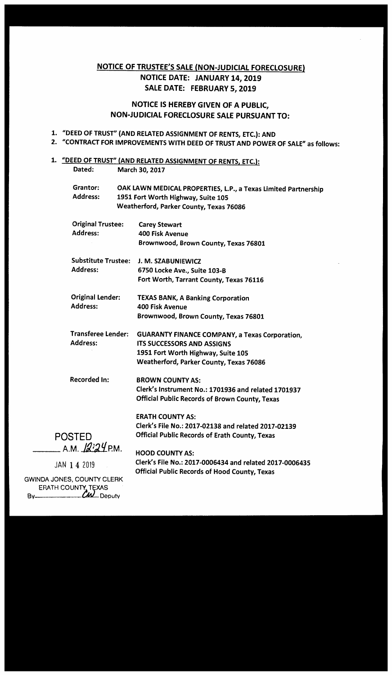# NOTICE OF TRUSTEE'S SALE (NON-JUDICIAL FORECLOSURE) NOTICE DATE: JANUARY 14, 2019 SALE DATE: FEBRUARY 5, 2019

## NOTICE IS HEREBY GIVEN OF A PUBLIC, NON-JUDICIAL FORECLOSURE SALE PURSUANT TO:

# 1. "DEED OF TRUST" (AND RELATED ASSIGNMENT OF RENTS, ETC.): AND

2. "CONTRACT FOR IMPROVEMENTS WITH DEED OF TRUST AND POWER OF SALE" as follows:

# 1. "DEED OF TRUST" (AND RELATED ASSIGNMENT OF RENTS, ETC.):

| Dated:                                           |  | March 30, 2017                                                                                                                                                              |
|--------------------------------------------------|--|-----------------------------------------------------------------------------------------------------------------------------------------------------------------------------|
| Grantor:<br><b>Address:</b>                      |  | OAK LAWN MEDICAL PROPERTIES, L.P., a Texas Limited Partnership<br>1951 Fort Worth Highway, Suite 105<br>Weatherford, Parker County, Texas 76086                             |
| <b>Original Trustee:</b><br><b>Address:</b>      |  | <b>Carey Stewart</b><br><b>400 Fisk Avenue</b><br>Brownwood, Brown County, Texas 76801                                                                                      |
| <b>Substitute Trustee:</b><br><b>Address:</b>    |  | J. M. SZABUNIEWICZ<br>6750 Locke Ave., Suite 103-B<br>Fort Worth, Tarrant County, Texas 76116                                                                               |
| <b>Original Lender:</b><br><b>Address:</b>       |  | <b>TEXAS BANK, A Banking Corporation</b><br><b>400 Fisk Avenue</b><br>Brownwood, Brown County, Texas 76801                                                                  |
| <b>Transferee Lender:</b><br><b>Address:</b>     |  | <b>GUARANTY FINANCE COMPANY, a Texas Corporation,</b><br><b>ITS SUCCESSORS AND ASSIGNS</b><br>1951 Fort Worth Highway, Suite 105<br>Weatherford, Parker County, Texas 76086 |
| <b>Recorded In:</b>                              |  | <b>BROWN COUNTY AS:</b><br>Clerk's Instrument No.: 1701936 and related 1701937<br>Official Public Records of Brown County, Texas                                            |
| <b>POSTED</b><br>A.M. 1224 P.M.                  |  | <b>ERATH COUNTY AS:</b><br>Clerk's File No.: 2017-02138 and related 2017-02139<br><b>Official Public Records of Erath County, Texas</b>                                     |
| JAN 1 4 2019<br><b>IINDA JONES, COUNTY CLERK</b> |  | <b>HOOD COUNTY AS:</b><br>Clerk's File No.: 2017-0006434 and related 2017-0006435<br><b>Official Public Records of Hood County, Texas</b>                                   |

**GWINDA JONES** ERATH COUNTY TEXAS Bv Deputy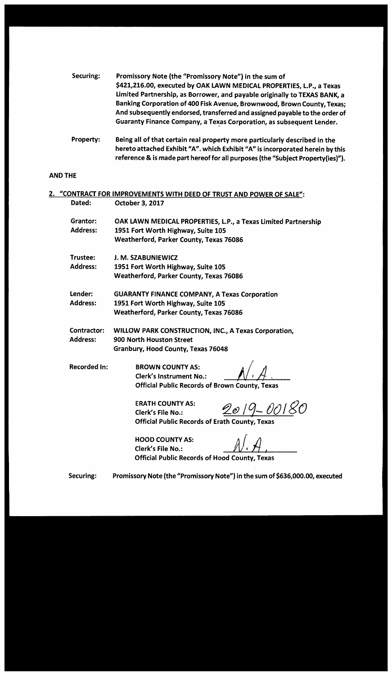| Securing: | Promissory Note (the "Promissory Note") in the sum of                       |
|-----------|-----------------------------------------------------------------------------|
|           | \$421,216.00, executed by OAK LAWN MEDICAL PROPERTIES, L.P., a Texas        |
|           | Limited Partnership, as Borrower, and payable originally to TEXAS BANK, a   |
|           | Banking Corporation of 400 Fisk Avenue, Brownwood, Brown County, Texas;     |
|           | And subsequently endorsed, transferred and assigned payable to the order of |
|           | Guaranty Finance Company, a Texas Corporation, as subsequent Lender.        |
|           |                                                                             |

Property: Being all of that certain real property more particularly described in the hereto attached Exhibit "A". which Exhibit "A" is incorporated herein by this reference & is made part hereof for all purposes (the "Subject Property(ies)").

## AND THE

| 2.                  | "CONTRACT FOR IMPROVEMENTS WITH DEED OF TRUST AND POWER OF SALE":            |
|---------------------|------------------------------------------------------------------------------|
| Dated:              | October 3, 2017                                                              |
| Grantor:            | OAK LAWN MEDICAL PROPERTIES, L.P., a Texas Limited Partnership               |
| <b>Address:</b>     | 1951 Fort Worth Highway, Suite 105                                           |
|                     | Weatherford, Parker County, Texas 76086                                      |
| Trustee:            | J. M. SZABUNIEWICZ                                                           |
| <b>Address:</b>     | 1951 Fort Worth Highway, Suite 105                                           |
|                     | <b>Weatherford, Parker County, Texas 76086</b>                               |
| Lender:             | <b>GUARANTY FINANCE COMPANY, A Texas Corporation</b>                         |
| <b>Address:</b>     | 1951 Fort Worth Highway, Suite 105                                           |
|                     | Weatherford, Parker County, Texas 76086                                      |
| Contractor:         | WILLOW PARK CONSTRUCTION, INC., A Texas Corporation,                         |
| <b>Address:</b>     | 900 North Houston Street                                                     |
|                     | Granbury, Hood County, Texas 76048                                           |
| <b>Recorded In:</b> | <b>BROWN COUNTY AS:</b>                                                      |
|                     | <b>Clerk's Instrument No.:</b>                                               |
|                     | <b>Official Public Records of Brown County, Texas</b>                        |
|                     | <b>ERATH COUNTY AS:</b>                                                      |
|                     | 2019-00180<br><b>Clerk's File No.:</b>                                       |
|                     | <b>Official Public Records of Erath County, Texas</b>                        |
|                     | <b>HOOD COUNTY AS:</b>                                                       |
|                     | <b>Clerk's File No.:</b>                                                     |
|                     | <b>Official Public Records of Hood County, Texas</b>                         |
| Securing:           | Promissory Note (the "Promissory Note") in the sum of \$636,000.00, executed |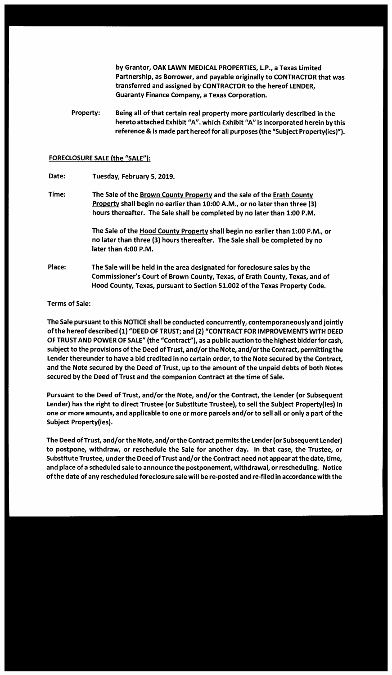by Grantor, OAK LAWN MEDICAL PROPERTIES, LP., a Texas Limited Partnership, as Borrower, and payable originally to CONTRACTOR that was transferred and assigned by CONTRACTOR to the hereof LENDER, Guaranty Finance Company, a Texas Corporation.

Property: Being all of that certain real property more particularly described in the hereto attached Exhibit "A". which Exhibit "A" is incorporated herein by this reference & is made part hereof for all purposes (the "Subject Property(ies)").

#### FORECLOSURE SALE (the **"SALE"):**

Date: Tuesday, February 5, 2019.

Time: The Sale of the Brown County Property and the sale of the Erath County Property shall begin no earlier than 10:00 A.M., or no later than three (3) hours thereafter. The Sale shall be completed by no later than 1:00 **P.M.** 

> The Sale of the Hood County Property shall begin no earlier than 1:00 **P.M.,** or no later than three (3) hours thereafter. The Sale shall be completed by no later than 4:00 **P.M.**

Place: The Sale will be held in the area designated for foreclosure sales by the Commissioner's Court of Brown County, Texas, of Erath County, Texas, and of Hood County, Texas, pursuant to Section 51.002 of the Texas Property Code.

#### Terms of Sale:

The Sale pursuant to this NOTICE shall be conducted concurrently, contemporaneously and jointly of the hereof described (1) "DEED OF TRUST; and (2) "CONTRACT FOR IMPROVEMENTS WITH DEED OF TRUST AND POWER OF SALE" (the "Contract"), as a public auction to the highest bidder for cash, subject to the provisions of the Deed of Trust, and/or the Note, and/or the Contract, permitting the Lender thereunder to have a bid credited in no certain order, to the Note secured by the Contract, and the Note secured by the Deed of Trust, up to the amount of the unpaid debts of both Notes secured by the Deed of Trust and the companion Contract at the time of Sale.

Pursuant to the Deed of Trust, and/or the Note, and/or the Contract, the Lender (or Subsequent Lender) has the right to direct Trustee (or Substitute Trustee), to sell the Subject Property(ies) in one or more amounts, and applicable to one or more parcels and/or to sell all or only a part of the Subject Property(ies).

The Deed of Trust, and/or the Note, and/or the Contract permits the Lender (or Subsequent Lender) to postpone, withdraw, or reschedule the Sale for another day. In that case, the Trustee, or Substitute Trustee, under the Deed of Trust and/or the Contract need not appear at the date, time, and place of a scheduled sale to announce the postponement, withdrawal, or rescheduling. Notice of the date of any rescheduled foreclosure sale will be re-posted and re-filed in accordance with the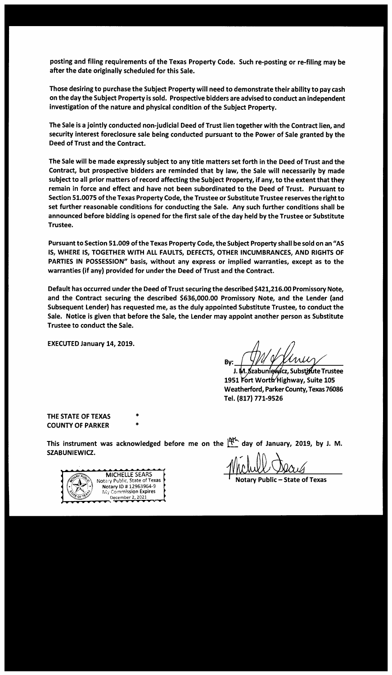posting and filing requirements of the Texas Property Code. Such re-posting or re-filing may be after the date originally scheduled for this Sale.

Those desiring to purchase the Subject Property will need to demonstrate their ability to pay cash on the day the Subject Property is sold. Prospective bidders are advised to conduct an independent investigation of the nature and physical condition of the Subject Property.

The Sale is a jointly conducted non-judicial Deed of Trust lien together with the Contract lien, and security interest foreclosure sale being conducted pursuant to the Power of Sale granted by the Deed of Trust and the Contract.

The Sale will be made expressly subject to any title matters set forth in the Deed of Trust and the Contract, but prospective bidders are reminded that by law, the Sale will necessarily by made subject to all prior matters of record affecting the Subject Property, if any, to the extent that they remain in force and effect and have not been subordinated to the Deed of Trust. Pursuant to Section 51.0075 of the Texas Property Code, the Trustee or Substitute Trustee reserves the right to set further reasonable conditions for conducting the Sale. Any such further conditions shall be announced before bidding is opened for the first sale of the day held by the Trustee or Substitute Trustee.

Pursuant to Section 51.009 of the Texas Property Code, the Subject Property shall be sold on an "AS IS, WHERE IS, TOGETHER WITH ALL FAULTS, DEFECTS, OTHER INCUMBRANCES, AND RIGHTS OF PARTIES IN POSSESSION" basis, without any express or implied warranties, except as to the warranties (if any) provided for under the Deed of Trust and the Contract.

Default has occurred under the Deed of Trust securing the described \$421,216.00 Promissory Note, and the Contract securing the described \$636,000.00 Promissory Note, and the Lender (and Subsequent Lender) has requested me, as the duly appointed Substitute Trustee, to conduct the Sale. Notice is given that before the Sale, the Lender may appoint another person as Substitute Trustee to conduct the Sale.

EXECUTED January 14, 2019.

By:  $\frac{1}{\sqrt{14}}$  or  $\frac{1}{\sqrt{10}}$ 

J. M. Szabuniewicz, Substizute Trustee 1951 Fort Worth Highway, Suite 105 Weatherford, Parker County, Texas 76086 Tel. (817) 771-9526

THE STATE OF TEXAS COUNTY OF PARKER

This instrument was acknowledged before me on the  $\frac{141}{100}$  day of January, 2019, by J. M. **SZABUNIEWICZ.** 

**MICHELLE SEARS** Notary Public, State of Texas Notary ID # 12963964-9 My Commission Expires December 2, 2021

\* \*

lotary Public – State of Texas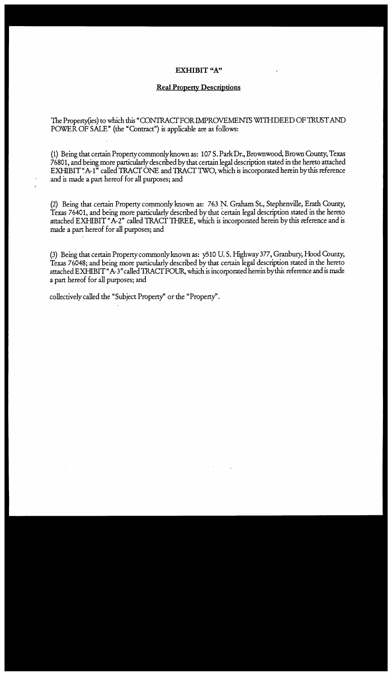#### **EXHIBIT "A"**

#### **Real Property Descriptions**

The Property(ies) to which this "CONTRACT FOR IMPROVEMENTS WITH DEED OF TRUST AND POWER OF SALE" (the "Contract") is applicable are as follows:

(1) Being that certain Property commonly known as: 107 S. Park Dr., Brownwood, Brown County, Texas 76801, and being more particularly described bythat certain legal description stated in the hereto attached EXHIBIT "A-1" called TRACT ONE and TRACT TWO, which is incorporated herein by this reference and is made a part hereof for all purposes; and

(2) Being that certain Property commonly known as: 763 N. Graham St., Stephenville, Erath County, Texas 76401, and being more particularly described by that certain legal description stated in the hereto attached EXHIBIT "A-2" called TRACT THREE, which is incorporated herein by this reference and is made a part hereof for all purposes; and

(3) Being that certain Property commonly known as: y510 U.S. Highway 377, Granbury, Hood County, Texas 76048; and being more particularly described by that certain legal description stated in the hereto attached EXHIBIT" A-3" called 1RACT FOUR, which is incorporated herein bythis reference and is made a part hereof for all purposes; and

collectively called the "Subject Property" or the "Property'.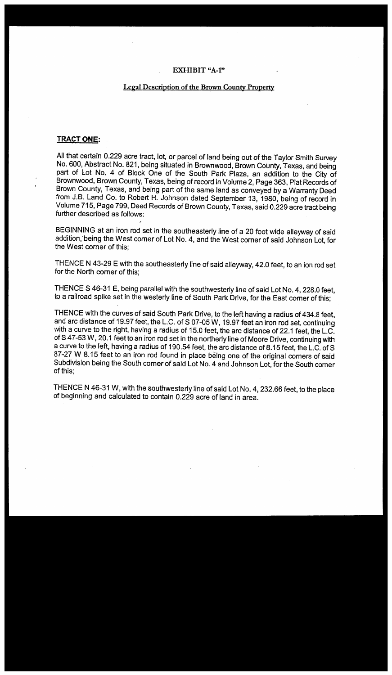#### **EXHIBIT "A-1"**

#### **Legal Description of the Brown County Property**

#### **TRACT ONE:**

All that certain 0.229 acre tract, lot, or parcel of land being out of the Taylor Smith Survey No. 600, Abstract No. 821, being situated in Brownwood, Brown County, Texas, and being part of Lot No. 4 of Block One of the South Park Plaza, an addition to the City of Brownwood, Brown County, Texas, being ofrecord in Volume 2, Page 363, Plat Records of Brown County, Texas, and being part of the same land as conveyed by a Warranty Deed from J.B. Land Co. to Robert H. Johnson dated September 13, 1980, being of record in Volume 715, Page 799, Deed Records of Brown County, Texas, said 0.229 acre tract being further described as follows:

BEGINNING at an iron rod set in the southeasterly line of a 20 foot wide alleyway of said addition, being the West corner of Lot No. 4, and the West corner of said Johnson Lot, for the West corner of this;

THENCE N 43-29 E with the southeasterly line of said alleyway, 42.0 feet, to an ion rod set for the North corner of this;

THENCE S 46-31 E, being parallel with the southwesterly line of said Lot No. 4, 228.0 feet, to a railroad spike set in the westerly line of South Park Drive, for the East corner of this;

THENCE with the curves of said South Park Drive, to the left having a radius of 434.8 feet, and arc distance of 19.97 feet, the L.C. of S 07-05 W, 19.97 feet an iron rod set, continuing with a curve to the right, having a radius of 15.0 feet, the arc distance of 22.1 feet, the L.C. of S 47-53 W, 20.1 feet to an iron rod set in the northerly line of Moore Drive, continuing with a curve to the left, having a radius of 190.54 feet, the arc distance of 8.15 feet, the L.C. of S 87-27 W 8.15 feet to an iron rod found in place being one of the original corners of said Subdivision being the South comer of said Lot No. 4 and Johnson Lot, for the South corner of this;

THENCE N 46-31 W, with the southwesterly line of said Lot No. 4,232.66 feet, to the place of beginning and calculated to contain 0.229 acre of land in area.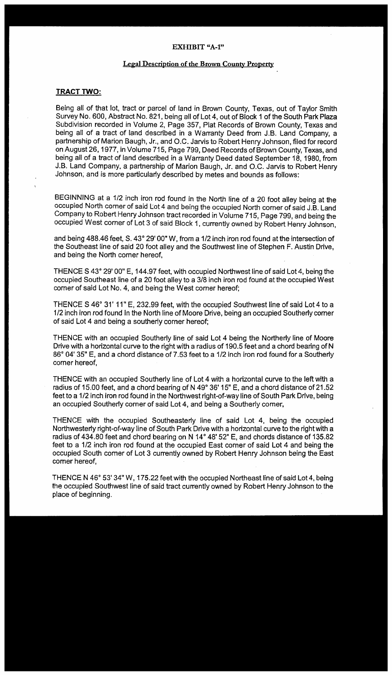#### EXHIBIT "A-1"

#### Legal Description of the Brown County Property

#### **TRACT TWO:**

Being all of that lot, tract or parcel of land in Brown County, Texas, out of Taylor Smith Survey No. 600, Abstract No. 821, being all of Lot 4, out of Block 1 of the South Park Plaza Subdivision recorded in Volume 2, Page 357, Plat Records of Brown County, Texas and being all of a tract of land described in a Warranty Deed from J.B. Land Company, a partnership of Marion Baugh, Jr., and O.C. Jarvis to Robert Henry Johnson, filed for record on August 26, 1977, in Volume 715, Page 799, Deed Records of Brown County, Texas, and being all of a tract of land described in a Warranty Deed dated September 18, 1980, from J.B. Land Company, a partnership of Marion Baugh, Jr. and O.C. Jarvis to Robert Henry Johnson; and is more particularly described by metes and bounds as follows:

BEGINNING at a 1/2 inch iron rod found in the North line of a 20 foot alley being at the occupied North corner of said Lot 4 and being the occupied North corner of said J.B. Land Company to Robert Henry Johnson tract recorded in Volume 715, Page 799, and being the occupied West comer of Lot 3 of said Block 1, currently owned by Robert Henry Johnson,

and being 488.46 feet, S. 43° 29' 00" W, from a 1/2 inch iron rod found at the intersection of the Southeast line of said 20 foot alley and the Southwest line of Stephen F. Austin Drive, and being the North corner hereof,

THENCE S 43° 29' 00" E, 144.97 feet, with occupied Northwest line of said Lot 4, being the occupied Southeast line of a 20 foot alley to a 3/8 inch iron rod found at the occupied West corner of said Lot No. 4, and being the West corner hereof;

THENCE S 46° 31' 11" E, 232.99 feet, with the occupied Southwest line of said Lot 4 to a 1/2 inch iron rod found In the North line of Moore Drive, being an occupied Southerly comer of said Lot 4 and being a southerly corner hereof;

THENCE with an occupied Southerly line of said Lot 4 being the Northerly line of Moore Drive with a horizontal curve to the right with a radius of 190.5 feet and a chord bearing of N 86° 04' 35" E, and a chord distance of 7 .53 feet to a 1 /2 inch iron rod found for a Southerly corner hereof,

THENCE with an occupied Southerly line of Lot 4 with a horizontal curve to the left with a radius of 15.00 feet, and a chord bearing of N 49° 36' 15" E, and a chord distance of 21.52 feet to a 1/2 inch iron rod found in the Northwest right-of-way line of South Park Drive, being an occupied Southerly corner of said Lot 4, and being a Southerly comer,

THENCE with the occupied Southeasterly line of said Lot 4, being the occupied Northwesterly right-of-way line of South Park Drive with a horizontal curve to the right with a radius of 434.80 feet and chord bearing on N 14° 48' 52" E, and chords distance of 135.82 feet to a 1/2 inch iron rod found at the occupied East corner of said Lot 4 and being the occupied South comer of Lot 3 currently owned by Robert Henry Johnson being the East comer hereof,

THENCE N 46° 53' 34" W, 175.22 feet with the occupied Northeast line of said Lot 4, being the occupied Southwest line of said tract currently owned by Robert Henry Johnson to the place of beginning.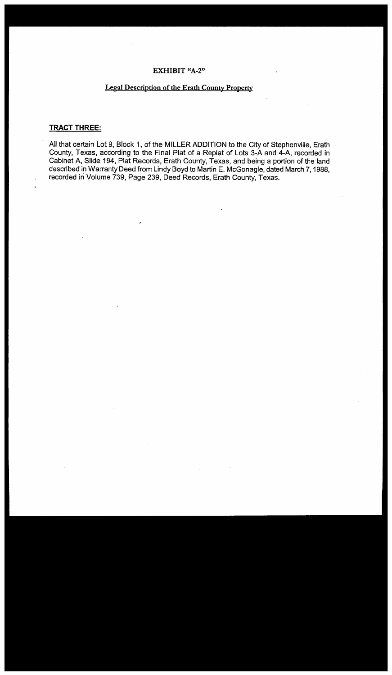#### **EXHIBIT "A-2"**

### **Legal Description of the Erath County Property**

## **TRACT THREE:**

All that certain Lot 9, Block 1, of the MILLER ADDITION to the City of Stephenville, Erath County, Texas, according to the Final Plat of a Replat of Lots 3-A and 4-A, recorded in Cabinet A, Slide 194, Plat Records, Erath County, Texas, and being a portion of the land described in Warranty Deed from Lindy Boyd to Martin E. McGonagle, dated March 7, 1988, recorded in Volume 739, Page 239, Deed Records, Erath County, Texas.